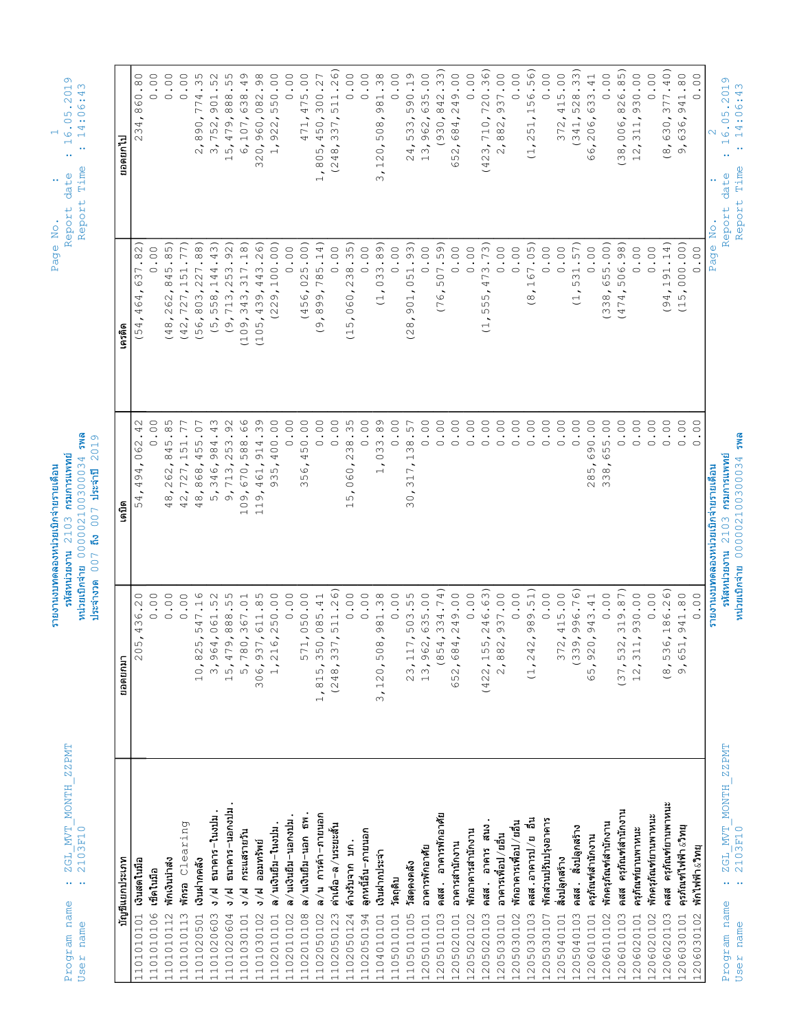| Time<br>Report<br><b>BMS</b><br>2019                                                                                                                                                                                 | รหัสหน่วยงาน 2103 กรมการแพทย<br>หน่วยเบิกจ่าย 0000002100300034<br>ประจำปี<br>ถึง $007$<br>ประจำงวด 007    | $\begin{array}{c} \tt ZGL_MVT_MONT\\ 2103F10 \end{array}$<br>$\mathbf{r} \leftarrow \mathbf{r} \leftarrow \mathbf{r}$<br>name<br>User |
|----------------------------------------------------------------------------------------------------------------------------------------------------------------------------------------------------------------------|-----------------------------------------------------------------------------------------------------------|---------------------------------------------------------------------------------------------------------------------------------------|
|                                                                                                                                                                                                                      |                                                                                                           |                                                                                                                                       |
| ยอดยกไป<br>เครดิต                                                                                                                                                                                                    | เดบิต<br>ยอดยกมา                                                                                          | บัญชีแยกประเภท                                                                                                                        |
| .82)<br>637<br>$\overline{\phantom{a}}$<br>464<br>(54,<br>∾<br>$\ddot{ }$<br>062                                                                                                                                     | 54,494,<br>205,436.20                                                                                     | เงินสดในมือ<br>1101010101                                                                                                             |
| 0.00<br>00.<br>$\circ$                                                                                                                                                                                               | 0.00                                                                                                      | เช็คในมือ<br>1101010106                                                                                                               |
| $\widehat{5}$<br>$\infty$<br>845<br>262,<br>$\sim$<br>(48)<br>ഗ<br>$\infty$<br>45<br>$\infty$                                                                                                                        | $\mathcal{S}^{\mathcal{S}}$<br>$\sim$<br>$48$<br>0.00                                                     | พักเงินน่าสง<br>1101010112                                                                                                            |
| $\widehat{\phantom{m}}$<br>$\overline{ }$<br>$5\,$<br>$\overline{ }$<br>727,<br>(42)<br>.77<br>$\overline{5}$ 1                                                                                                      | :727,1!<br>$4\,2$<br>0.00                                                                                 | whia Clearing<br>1101010113                                                                                                           |
| $\sim$<br>$\widehat{\infty}$<br>$\ddot{\circ}$<br>(56, 803, 227<br>$\sim$ 0 $\sim$<br>55<br>4                                                                                                                        | 868,<br>$48$<br>$\circ$<br>10,825,547.1                                                                   | เงินฝากคลัง<br>1101020501                                                                                                             |
| 3,752,9<br>$\widehat{\mathcal{C}}$<br>$\ddot{=}$<br>58,144<br>(5, 5)<br>.43<br>984                                                                                                                                   | $5,346,$<br>9,713,<br>3,964,061.52                                                                        | $3/k$ $547975  113111$<br>1101020603                                                                                                  |
| 5,479,888<br>$\overline{\phantom{0}}$<br>713, 253.92<br>(109, 343, 317.18)<br>$\ddot{\circ}$<br>.92<br>53<br>588<br>$\mathbb{C}$                                                                                     | 670,<br>09'<br>15,479,888.55                                                                              | ธนาคาร-นอกงปม.<br>9/ <mark>द</mark><br>1101020604<br>1101030101                                                                       |
| 6,107,6<br>443.26)<br>439,<br>(105,<br>.66<br>.39                                                                                                                                                                    | 461,<br>$\circ$<br>$\overline{\phantom{0}}$<br>$\overline{\phantom{0}}$<br>$\overline{ }$<br>5,780,367.01 | กระแสรายวัน<br>ง $/$ ฝ<br>1101030102                                                                                                  |
| 320,7<br>$\overline{1}$<br>100.00)<br>$\ddot{\circ}$<br>$\sim$<br>$\overline{C}$<br>$\ddot{\circ}$<br>914<br>400                                                                                                     | 935,<br>1,216,250.00<br>306,937,611.85                                                                    | ล $/$ นเงินยึม $-$ ในงปม $\,$ .<br>ง/ฝ ออมทรัพย์<br>1102010101                                                                        |
| 0.00<br>$\rm ^{\circ}$ .<br>$\circ$                                                                                                                                                                                  | 0.00                                                                                                      | ิล ∕ นเงินยึม−นอกงปม .<br>1102010102                                                                                                  |
| 025.00<br>99<br>$\overline{4}$<br>$\ddot{\circ}$<br>50<br>4                                                                                                                                                          | 99<br>$\infty$<br>571,050.00                                                                              | ิล ∕ นเงินยึม−นอก ธพ .<br>1102010108                                                                                                  |
| 785.14<br>$\ddot{\phantom{1}}$<br>99.<br>$\ddot{\circ}$<br>$\circ$                                                                                                                                                   | 1,815,350,085.41                                                                                          |                                                                                                                                       |
| $\infty$ $\infty$<br>804<br>$\overline{\phantom{0}}$<br>$\div$<br>$0.00$<br>(9, 8)<br>$\rm ^{\circ}$ .<br>$\circ$                                                                                                    | (248, 337, 511.26)                                                                                        | การค้า-ภายนอก<br>คาเผือ−ล ⁄ นระยะสั้น<br>ล $/$ น<br>1102050102<br>1102050123                                                          |
| 38.35<br>$\sim$<br>$\rm ^{\circ}$<br>$\circ$<br>ഗ<br>$\cdot$ .35<br>$_{\odot}^{\infty}$<br>$\sim$<br>$\circ$                                                                                                         | $\bar{\circ}$<br>$\circ$<br>ഗ                                                                             | 1102050124                                                                                                                            |
| $\overline{\phantom{a}}$<br>$\overline{\phantom{a}}$<br>L)<br>$\ddot{\circ}$<br>$\circ$<br>$\overline{\phantom{a}}$                                                                                                  | $\ddot{\phantom{1}}$<br>$\overline{\phantom{0}}$<br>0.00                                                  | ลูกหนี้อื่น–ภายนอก<br>ค้างรับจาก บก.<br>1102050194                                                                                    |
| 0.00                                                                                                                                                                                                                 | 0.00                                                                                                      |                                                                                                                                       |
| $\dot{\circ}$<br>$\sim$<br>$\overline{\phantom{0}}$<br>$\mathfrak{S}$<br>33.89)<br>$\circ$<br>$\overline{\phantom{a}}$<br>$\cup$<br>.89<br>33<br>$\circ$<br>$\overline{\phantom{0}}$                                 | 3, 120, 508, 981.38                                                                                       | เงินฝากประจำ<br>1104010101<br>1105010101                                                                                              |
| $\ddot{\circ}$<br>$\circ$<br>$\ddot{\circ}$<br>$\circ$                                                                                                                                                               | 0.00                                                                                                      | วัตถุดิบ                                                                                                                              |
| 4<br>$\sim$<br>93)<br>$\bullet$<br>51<br>$\circ$<br>$\overline{\phantom{a}}$<br>901<br>$\overline{\phantom{a}}$<br>$\infty$<br>$\subset$<br>.57<br>$_{\odot}^{\infty}$<br>$\overline{\phantom{0}}$<br>$\overline{ }$ | $\overline{\phantom{0}}$<br>$\infty$<br>$\overline{3}0$<br>23, 117, 503.55                                | วัสดุคงคลัง<br>1105010105                                                                                                             |
| $\sum_{i=1}^{n}$<br>$\overline{a}$<br>$\ddot{\circ}$<br>$\circ$<br>$\rm ^{\circ}$ .<br>$\circ$                                                                                                                       | 13,962,635.00                                                                                             | อาคารพักอาศัย<br>1205010101                                                                                                           |
| .59)<br>$\overline{0}$<br>ഗ<br>$\overline{\phantom{a}}$<br>$\circ$<br>$\subset$<br>$\ddot{\circ}$<br>$\circ$                                                                                                         | (854, 334.74)                                                                                             | อาคารพักอาศัย<br>คสส.<br>1205010103                                                                                                   |
| $\mathcal{O}$<br>ഗ<br>$\circ$<br>0.00<br>0.00<br>$\ddot{\circ}$<br>$\ddot{\circ}$<br>$\circ$<br>$\circ$                                                                                                              | 652,684,249.00                                                                                            | อาคารสำนักงาน<br>1205020102<br>1205020101                                                                                             |
| (42)<br>473.73)<br>ഗ<br>ഗ<br>(1, 5)<br>$\overline{0}$ .                                                                                                                                                              | (422, 155, 246.63)<br>0.00                                                                                | อาคาร สนง<br>พักอาคารสำนักงาน<br>คสส.<br>1205020103                                                                                   |
| $\frac{1}{2}$<br>$\sim$<br>0.00<br>$\ddot{\phantom{1}}$<br>$\rm ^{\circ}$ .<br>$\circ$ $\circ$                                                                                                                       | 2,882,937.00                                                                                              | อาคารเพื่อป / ยอื่น<br>1205030101                                                                                                     |
| 0.00<br>$\rm ^{\circ}$ .<br>$\circ$                                                                                                                                                                                  | 0.00                                                                                                      | พักอาคารเพื่อป ⁄ ยอื่น<br>1205030102                                                                                                  |
| .05<br>$\sqrt{6}$<br>$\overline{\phantom{0}}$<br>$\infty$<br>$\overline{\phantom{0}}$<br>$\ddot{\circ}$<br>$\circ$                                                                                                   | (1, 242, 989.51)                                                                                          | ភ្លឹ<br>205030103<br>$\overline{ }$                                                                                                   |
| こ<br><br>$\overline{\phantom{a}}$<br>$\circ$                                                                                                                                                                         |                                                                                                           | คสส.อาคารป /ย                                                                                                                         |
| 0.00<br>$\ddot{\circ}$                                                                                                                                                                                               | 0.00                                                                                                      | พักส่วนปรับปรุงอาคาร<br>1205030107<br>1205040101                                                                                      |
| $\circ$ .<br>$\circ$<br>$\rm ^{\circ}$ .<br>$\circ$<br>$\circ$                                                                                                                                                       | 372,415.00                                                                                                | สิ่งปลูกสร้าง                                                                                                                         |
| 57)<br>$\bullet$<br>$\Xi$<br>ഗ<br>$\overline{\phantom{a}}$<br>L)<br>$\ddot{\circ}$                                                                                                                                   | (339, 996.76)                                                                                             | สิ่งปลูกสร้าง<br>คสส.<br>1205040103                                                                                                   |
| 6,206<br>$\circ$<br>00.<br>$\circ$<br>$\rm ^{\circ}$ .<br>$\circ$<br>85,6                                                                                                                                            | $\sim$ $\sim$<br>65, 920, 943.41                                                                          | ครุภัณฑ์สานักงาน<br>1206010101                                                                                                        |
| (55.00)<br>$\circ$<br>$\sim$<br>$\mathop{\mathsf{SO}}\nolimits$<br>$\widetilde{\omega}$<br>$\rm ^{\circ}$ .<br>55<br>$\circ$                                                                                         | $\frac{8}{3}$<br>0.00                                                                                     | พักครุภัณฑ์สำนักงาน<br>1206010102                                                                                                     |
| $\frac{1}{\infty}$<br>$\tilde{\omega}$<br>98)<br>06.<br>ഗ<br>(474,<br>$\rm ^{\circ}$ .<br>$\circ$                                                                                                                    | (37, 532, 319.87)                                                                                         | คสส ครุภัณฑ์สำนักงาน<br>1206010103                                                                                                    |
| $\sim$<br>$\overline{ }$<br>$\circ$ .<br>$\circ$<br>$\circ$<br>$\circ$<br>$\ddot{\circ}$<br>$\circ$<br>$\circ$<br>$\circ$                                                                                            | 12, 311, 930.00<br>$\circ$                                                                                | ครุภัณฑ์ยานพาหนะ<br>1206020102<br>206020101<br>$\overline{ }$                                                                         |
| $\infty$<br>$\check{ }$<br>91.14)<br>$\overline{O}$ .<br>$\overline{\phantom{0}}$<br>$\ddot{4}$<br>$\circ$<br>$\overline{\phantom{0}}$<br>$\rm ^{\circ}$ .<br>$\overline{O}$<br>$\circ$                              | (8, 536, 186.26)<br>$\overline{0}$ .                                                                      | ครุภัณฑ์ยานพาหนะ<br>พักครุภัณฑ์ยานพาหนะ<br>คสส<br>1206020103                                                                          |
| $\circ$<br>(15,000.00)<br>$\ddot{\circ}$<br>$\circ$                                                                                                                                                                  | 9,651,941.80                                                                                              | 1206030101                                                                                                                            |
| 0.00<br>$\circ$<br>$\circ$<br>$\circ$                                                                                                                                                                                | 0.00                                                                                                      | พักไฟฟ้า &วิทยุ<br>206030102<br>$\overline{\phantom{0}}$                                                                              |
| <br>No.<br>Page                                                                                                                                                                                                      |                                                                                                           |                                                                                                                                       |
|                                                                                                                                                                                                                      |                                                                                                           |                                                                                                                                       |
|                                                                                                                                                                                                                      | รายงานงบทดลองหน่วยเบิกจ่ายรายเดือน                                                                        |                                                                                                                                       |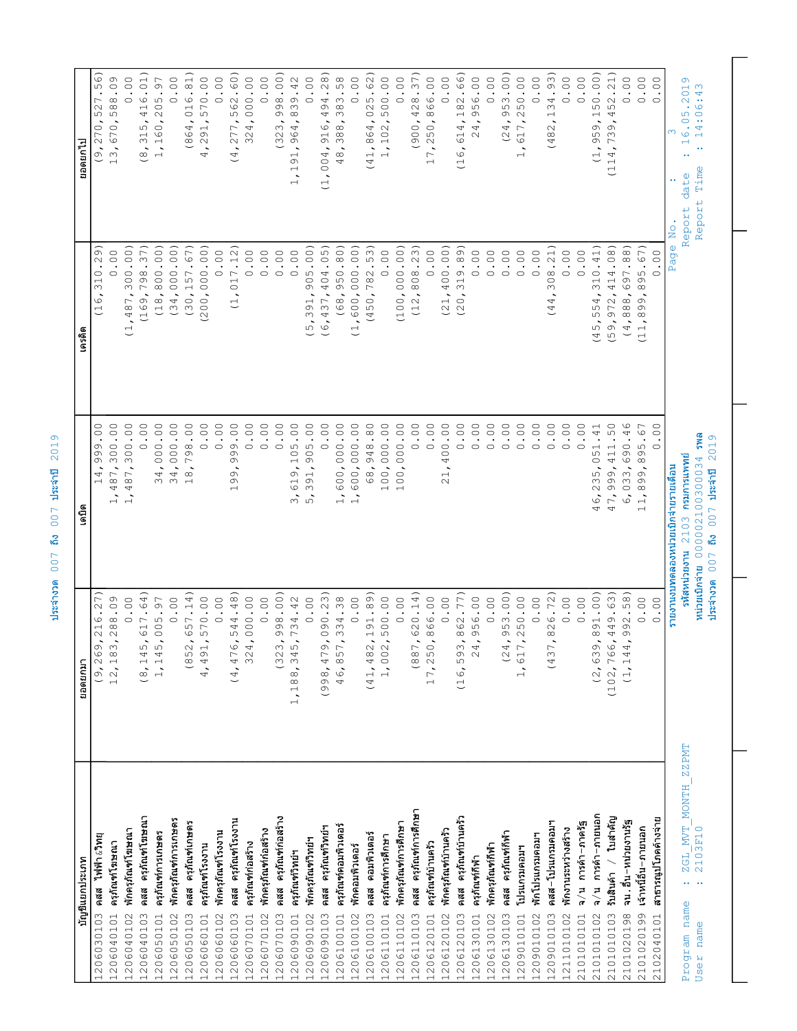| (998, 479, 090.23)<br>(41, 482, 191.89)<br>(16, 593, 862.77)<br>(9, 269, 216.27)<br>46,857,334.38<br>1,617,250.00<br>12, 183, 288.09<br>4,491,<br>345,<br>17,250,<br>ยอดยกมา<br>1,188,<br>ครุภัณฑ์การศึกษา<br>คสส ครุภัณฑ์โฆษณา<br>ครุภัณฑ์กอสร้าง<br>คสส ครุภัณฑ์บ้านครัว<br>พักครุภัณฑ์การเกษตร<br>คสส ครุภัณฑ์โรงงาน<br>คสส ครุภัณฑ์เกษตร<br>พักครุภัณฑ์การศึกษา<br>ครุภัณฑ์คอมพิวเตอร์<br>ครุภัณฑ์วิทย์ฯ<br>พักครุภัณฑ์โฆษณา<br>พักครุภัณฑ์กอสร้าง<br>พักคร <i>ุภั</i> ณฑ์บ้านครัว<br>พักครุภัณฑ์โรงงาน<br>ครุภัณฑ์การเกษตร<br>คสส ครุภัณฑ์กีฬา<br>คสส คอมพิวเตอร์<br>พักโปรแกรมคอมฯ<br>้เรน∈ู ร∟ุนฺหนู ๒๒⊌<br>ครุภัณฑ์การศึกษา<br>พักครุภัณฑ์วิทย์ฯ<br>ครุภัณฑ์โฆษณา<br>ครุภัณฑ์ก่อสร้าง<br>ครุภัณฑ์บ้านครัว<br>พักครุภัณฑ์กีฬา<br>ครุภัณฑ์โรงงาน<br>พักคอมพิวเตอร์<br>โปรแกรมคอมฯ<br>ครุภัณฑ์วิทย์ฯ<br>บัญชีแยกประเภท<br>ครุภัณฑ์กีฬา<br>คสส<br>คสส<br>คสส<br>1206030103<br>1206050103<br>1206040102<br>1206040103<br>1206050101<br>1206050102<br>1206060101<br>1206060102<br>1206060103<br>1206070101<br>$\begin{array}{l} 1206070102 \\ 1206070103 \\ 1206090101 \\ 1206090102 \\ 1206090102 \\ 1206090102 \end{array}$<br>1206100101<br>1206100102<br>1206100103<br>1206110101<br>1206110102<br>1206110103<br>1206120101<br>1206120102<br>1206120103<br>1206130101<br>1206130102<br>1206130103<br>1209010101<br>1209010102<br>1206040101 | $\overline{\phantom{0}}$<br>$\overline{6}$<br>ო<br>$\overline{ }$<br>Ō<br>Н<br>$\tilde{\phantom{a}}$<br>$\ddot{1}$<br>$\overline{\phantom{a}}$<br>$\tilde{\phantom{a}}$<br>$\overline{\phantom{0}}$<br>$\overline{\phantom{0}}$<br>$\infty$<br>ഗ<br>$\overline{ }$<br>(8, 145, 617.64)<br>(852, 657.14)<br>(4, 476, 544.48)<br>(323, 998.00)<br>(887, 620.14)<br>570.00<br>324,000.00<br>0.00<br>0.00<br>1,002,500.000<br>0.00<br>0.00<br>0.00<br>0.00<br>734.42<br>$\ddot{\circ}$<br>1, 145, 005.97<br>$\circ$ | $\circ$ .<br>$\ddot{\circ}$<br>$\rm ^{\circ}$ .<br>$\rm ^{\circ}$ .<br>$\ddot{\circ}$<br>$\rm ^{\circ}$ .<br>$\circ$<br>$\ddot{\circ}$<br>00.<br>$\ddot{\circ}$<br>$\rm ^{\circ}$ .<br>$\rm ^{\circ}$ .<br>$\ddot{\circ}$<br>$\rm ^{\circ}$ .<br>$\rm ^{\circ}$ .<br>$\rm ^{\circ}$ .<br>$\rm ^{\circ}$ .<br>$\ddot{\circ}$<br>$\rm ^{\circ}$ .<br>$\cdot$ 8 $\cdot$<br>$\overline{Q}$ .<br>$\infty$<br>487,300<br>487,300<br>$\circ$<br>000<br>14,000<br>798<br>$\circ$<br>$\circ$<br>$\circ$<br>$\circ$<br>$\circ$<br>$\mathfrak{U}$<br>905<br>600,000<br>600,000<br>948<br>100,000<br>$\circ$<br>$\circ$<br>$\supseteq$<br>O)<br>$\circ$<br>O)<br>$\sim$<br>68,<br>4,<br>$\overline{\phantom{a}}$<br>$\delta$<br>391,<br>$\infty$<br>34<br>G | (1, 487, 300.000)<br>37)<br>(18, 800.00)<br>(34,000.00)<br>(30, 157.67)<br>(62)<br>000.001<br>7.12)<br>$\circ$<br>0.00<br>0.00<br>$\ddot{\circ}$<br>$\ddot{\circ}$<br>0.00<br>$\cdot$<br>798.<br>$\circ$<br>$\circ$<br>$\circ$<br>$\circ$<br>$\overline{31}$<br>$\overline{C}$<br>(169,<br>$\dot{\circ}$<br>(200,<br>こ<br>$\cup$ | (8, 315, 416.01)<br>56)<br>13,670,588.09<br>0.00<br>$\bullet$<br>527<br>(9, 270,                                                                                                                                                                                                                                                                                  |
|---------------------------------------------------------------------------------------------------------------------------------------------------------------------------------------------------------------------------------------------------------------------------------------------------------------------------------------------------------------------------------------------------------------------------------------------------------------------------------------------------------------------------------------------------------------------------------------------------------------------------------------------------------------------------------------------------------------------------------------------------------------------------------------------------------------------------------------------------------------------------------------------------------------------------------------------------------------------------------------------------------------------------------------------------------------------------------------------------------------------------------------------------------------------------------------------------------------------------------------------------------------------------------------------------------------------------------------------------|-----------------------------------------------------------------------------------------------------------------------------------------------------------------------------------------------------------------------------------------------------------------------------------------------------------------------------------------------------------------------------------------------------------------------------------------------------------------------------------------------------------------|-------------------------------------------------------------------------------------------------------------------------------------------------------------------------------------------------------------------------------------------------------------------------------------------------------------------------------------------------------------------------------------------------------------------------------------------------------------------------------------------------------------------------------------------------------------------------------------------------------------------------------------------------------------------------------------------------------------------------------------------------|----------------------------------------------------------------------------------------------------------------------------------------------------------------------------------------------------------------------------------------------------------------------------------------------------------------------------------|-------------------------------------------------------------------------------------------------------------------------------------------------------------------------------------------------------------------------------------------------------------------------------------------------------------------------------------------------------------------|
|                                                                                                                                                                                                                                                                                                                                                                                                                                                                                                                                                                                                                                                                                                                                                                                                                                                                                                                                                                                                                                                                                                                                                                                                                                                                                                                                                   |                                                                                                                                                                                                                                                                                                                                                                                                                                                                                                                 |                                                                                                                                                                                                                                                                                                                                                                                                                                                                                                                                                                                                                                                                                                                                                 |                                                                                                                                                                                                                                                                                                                                  |                                                                                                                                                                                                                                                                                                                                                                   |
|                                                                                                                                                                                                                                                                                                                                                                                                                                                                                                                                                                                                                                                                                                                                                                                                                                                                                                                                                                                                                                                                                                                                                                                                                                                                                                                                                   |                                                                                                                                                                                                                                                                                                                                                                                                                                                                                                                 |                                                                                                                                                                                                                                                                                                                                                                                                                                                                                                                                                                                                                                                                                                                                                 |                                                                                                                                                                                                                                                                                                                                  |                                                                                                                                                                                                                                                                                                                                                                   |
|                                                                                                                                                                                                                                                                                                                                                                                                                                                                                                                                                                                                                                                                                                                                                                                                                                                                                                                                                                                                                                                                                                                                                                                                                                                                                                                                                   |                                                                                                                                                                                                                                                                                                                                                                                                                                                                                                                 |                                                                                                                                                                                                                                                                                                                                                                                                                                                                                                                                                                                                                                                                                                                                                 |                                                                                                                                                                                                                                                                                                                                  |                                                                                                                                                                                                                                                                                                                                                                   |
|                                                                                                                                                                                                                                                                                                                                                                                                                                                                                                                                                                                                                                                                                                                                                                                                                                                                                                                                                                                                                                                                                                                                                                                                                                                                                                                                                   |                                                                                                                                                                                                                                                                                                                                                                                                                                                                                                                 |                                                                                                                                                                                                                                                                                                                                                                                                                                                                                                                                                                                                                                                                                                                                                 |                                                                                                                                                                                                                                                                                                                                  |                                                                                                                                                                                                                                                                                                                                                                   |
|                                                                                                                                                                                                                                                                                                                                                                                                                                                                                                                                                                                                                                                                                                                                                                                                                                                                                                                                                                                                                                                                                                                                                                                                                                                                                                                                                   |                                                                                                                                                                                                                                                                                                                                                                                                                                                                                                                 |                                                                                                                                                                                                                                                                                                                                                                                                                                                                                                                                                                                                                                                                                                                                                 |                                                                                                                                                                                                                                                                                                                                  | .6.<br>205<br>$\overline{60}$<br>$\overline{ }$<br>$\overline{a}$                                                                                                                                                                                                                                                                                                 |
|                                                                                                                                                                                                                                                                                                                                                                                                                                                                                                                                                                                                                                                                                                                                                                                                                                                                                                                                                                                                                                                                                                                                                                                                                                                                                                                                                   |                                                                                                                                                                                                                                                                                                                                                                                                                                                                                                                 |                                                                                                                                                                                                                                                                                                                                                                                                                                                                                                                                                                                                                                                                                                                                                 |                                                                                                                                                                                                                                                                                                                                  | $\ddot{\circ}$<br>$\circ$                                                                                                                                                                                                                                                                                                                                         |
|                                                                                                                                                                                                                                                                                                                                                                                                                                                                                                                                                                                                                                                                                                                                                                                                                                                                                                                                                                                                                                                                                                                                                                                                                                                                                                                                                   |                                                                                                                                                                                                                                                                                                                                                                                                                                                                                                                 |                                                                                                                                                                                                                                                                                                                                                                                                                                                                                                                                                                                                                                                                                                                                                 |                                                                                                                                                                                                                                                                                                                                  | 016.81)<br>$\ddot{4}$<br>(86)                                                                                                                                                                                                                                                                                                                                     |
|                                                                                                                                                                                                                                                                                                                                                                                                                                                                                                                                                                                                                                                                                                                                                                                                                                                                                                                                                                                                                                                                                                                                                                                                                                                                                                                                                   |                                                                                                                                                                                                                                                                                                                                                                                                                                                                                                                 |                                                                                                                                                                                                                                                                                                                                                                                                                                                                                                                                                                                                                                                                                                                                                 |                                                                                                                                                                                                                                                                                                                                  | 0.00<br>570.00<br>91,<br>$\mathbb N$<br>$\ddot{4}$                                                                                                                                                                                                                                                                                                                |
|                                                                                                                                                                                                                                                                                                                                                                                                                                                                                                                                                                                                                                                                                                                                                                                                                                                                                                                                                                                                                                                                                                                                                                                                                                                                                                                                                   |                                                                                                                                                                                                                                                                                                                                                                                                                                                                                                                 |                                                                                                                                                                                                                                                                                                                                                                                                                                                                                                                                                                                                                                                                                                                                                 |                                                                                                                                                                                                                                                                                                                                  | 562.60)<br>77<br>4<br>$\overline{\phantom{0}}$                                                                                                                                                                                                                                                                                                                    |
|                                                                                                                                                                                                                                                                                                                                                                                                                                                                                                                                                                                                                                                                                                                                                                                                                                                                                                                                                                                                                                                                                                                                                                                                                                                                                                                                                   |                                                                                                                                                                                                                                                                                                                                                                                                                                                                                                                 |                                                                                                                                                                                                                                                                                                                                                                                                                                                                                                                                                                                                                                                                                                                                                 |                                                                                                                                                                                                                                                                                                                                  | 00.000<br>$\sim$<br>$\ddot{4}$<br>$\overline{32}$<br>$\sim$                                                                                                                                                                                                                                                                                                       |
|                                                                                                                                                                                                                                                                                                                                                                                                                                                                                                                                                                                                                                                                                                                                                                                                                                                                                                                                                                                                                                                                                                                                                                                                                                                                                                                                                   |                                                                                                                                                                                                                                                                                                                                                                                                                                                                                                                 |                                                                                                                                                                                                                                                                                                                                                                                                                                                                                                                                                                                                                                                                                                                                                 |                                                                                                                                                                                                                                                                                                                                  | 0.00                                                                                                                                                                                                                                                                                                                                                              |
|                                                                                                                                                                                                                                                                                                                                                                                                                                                                                                                                                                                                                                                                                                                                                                                                                                                                                                                                                                                                                                                                                                                                                                                                                                                                                                                                                   |                                                                                                                                                                                                                                                                                                                                                                                                                                                                                                                 |                                                                                                                                                                                                                                                                                                                                                                                                                                                                                                                                                                                                                                                                                                                                                 |                                                                                                                                                                                                                                                                                                                                  | 998.00)<br>(323,                                                                                                                                                                                                                                                                                                                                                  |
|                                                                                                                                                                                                                                                                                                                                                                                                                                                                                                                                                                                                                                                                                                                                                                                                                                                                                                                                                                                                                                                                                                                                                                                                                                                                                                                                                   |                                                                                                                                                                                                                                                                                                                                                                                                                                                                                                                 |                                                                                                                                                                                                                                                                                                                                                                                                                                                                                                                                                                                                                                                                                                                                                 |                                                                                                                                                                                                                                                                                                                                  | 139.42<br>$\infty$<br>$\ddot{q}$<br>$\frac{6}{9}$<br>$\overline{\phantom{a}}$<br>$\Xi$<br>$\overline{\phantom{0}}$<br>$\frac{1}{1}$                                                                                                                                                                                                                               |
|                                                                                                                                                                                                                                                                                                                                                                                                                                                                                                                                                                                                                                                                                                                                                                                                                                                                                                                                                                                                                                                                                                                                                                                                                                                                                                                                                   |                                                                                                                                                                                                                                                                                                                                                                                                                                                                                                                 |                                                                                                                                                                                                                                                                                                                                                                                                                                                                                                                                                                                                                                                                                                                                                 | 905.00)<br>, 391,<br>ഗ                                                                                                                                                                                                                                                                                                           | $\rm ^{\circ}$ .<br>$\circ$                                                                                                                                                                                                                                                                                                                                       |
|                                                                                                                                                                                                                                                                                                                                                                                                                                                                                                                                                                                                                                                                                                                                                                                                                                                                                                                                                                                                                                                                                                                                                                                                                                                                                                                                                   |                                                                                                                                                                                                                                                                                                                                                                                                                                                                                                                 |                                                                                                                                                                                                                                                                                                                                                                                                                                                                                                                                                                                                                                                                                                                                                 | (6, 437, 404.05)                                                                                                                                                                                                                                                                                                                 | .28)<br>494.<br>916,<br>$\ddot{z}$<br>$\overline{O}$<br>$\overline{1}$ ,                                                                                                                                                                                                                                                                                          |
|                                                                                                                                                                                                                                                                                                                                                                                                                                                                                                                                                                                                                                                                                                                                                                                                                                                                                                                                                                                                                                                                                                                                                                                                                                                                                                                                                   |                                                                                                                                                                                                                                                                                                                                                                                                                                                                                                                 |                                                                                                                                                                                                                                                                                                                                                                                                                                                                                                                                                                                                                                                                                                                                                 | (68, 950.80)                                                                                                                                                                                                                                                                                                                     | 383.58<br>388,<br>48,                                                                                                                                                                                                                                                                                                                                             |
|                                                                                                                                                                                                                                                                                                                                                                                                                                                                                                                                                                                                                                                                                                                                                                                                                                                                                                                                                                                                                                                                                                                                                                                                                                                                                                                                                   |                                                                                                                                                                                                                                                                                                                                                                                                                                                                                                                 |                                                                                                                                                                                                                                                                                                                                                                                                                                                                                                                                                                                                                                                                                                                                                 | 600,000,000<br>$\cup$                                                                                                                                                                                                                                                                                                            | $\ddot{\circ}$<br>$\circ$                                                                                                                                                                                                                                                                                                                                         |
|                                                                                                                                                                                                                                                                                                                                                                                                                                                                                                                                                                                                                                                                                                                                                                                                                                                                                                                                                                                                                                                                                                                                                                                                                                                                                                                                                   |                                                                                                                                                                                                                                                                                                                                                                                                                                                                                                                 |                                                                                                                                                                                                                                                                                                                                                                                                                                                                                                                                                                                                                                                                                                                                                 | 782.53)<br>450                                                                                                                                                                                                                                                                                                                   | 025.62)<br>$\hat{\phantom{a}}$<br>4<br>$\circ$<br>$\infty$<br>$\sim$<br>$\overline{\phantom{0}}$<br>4<br>$\overline{\phantom{0}}$                                                                                                                                                                                                                                 |
|                                                                                                                                                                                                                                                                                                                                                                                                                                                                                                                                                                                                                                                                                                                                                                                                                                                                                                                                                                                                                                                                                                                                                                                                                                                                                                                                                   |                                                                                                                                                                                                                                                                                                                                                                                                                                                                                                                 |                                                                                                                                                                                                                                                                                                                                                                                                                                                                                                                                                                                                                                                                                                                                                 | 0.00                                                                                                                                                                                                                                                                                                                             | $\ddot{\circ}$<br>102,500<br>$\vec{+}$                                                                                                                                                                                                                                                                                                                            |
|                                                                                                                                                                                                                                                                                                                                                                                                                                                                                                                                                                                                                                                                                                                                                                                                                                                                                                                                                                                                                                                                                                                                                                                                                                                                                                                                                   |                                                                                                                                                                                                                                                                                                                                                                                                                                                                                                                 | $\ddot{\circ}$<br>000<br>100,                                                                                                                                                                                                                                                                                                                                                                                                                                                                                                                                                                                                                                                                                                                   | (100,000.00)                                                                                                                                                                                                                                                                                                                     | 0.00                                                                                                                                                                                                                                                                                                                                                              |
|                                                                                                                                                                                                                                                                                                                                                                                                                                                                                                                                                                                                                                                                                                                                                                                                                                                                                                                                                                                                                                                                                                                                                                                                                                                                                                                                                   |                                                                                                                                                                                                                                                                                                                                                                                                                                                                                                                 | $\ddot{\circ}$<br>$\circ$                                                                                                                                                                                                                                                                                                                                                                                                                                                                                                                                                                                                                                                                                                                       | 808.23)<br>(12,                                                                                                                                                                                                                                                                                                                  | 428.37)<br>(900)                                                                                                                                                                                                                                                                                                                                                  |
|                                                                                                                                                                                                                                                                                                                                                                                                                                                                                                                                                                                                                                                                                                                                                                                                                                                                                                                                                                                                                                                                                                                                                                                                                                                                                                                                                   | 866.00                                                                                                                                                                                                                                                                                                                                                                                                                                                                                                          | $\rm ^{\circ}$ .<br>$\circ$                                                                                                                                                                                                                                                                                                                                                                                                                                                                                                                                                                                                                                                                                                                     | 0.00                                                                                                                                                                                                                                                                                                                             | 866.00<br>50,<br>$\sim$<br>$\mathcal{L}_{\bullet}$<br>$\overline{\phantom{0}}$                                                                                                                                                                                                                                                                                    |
|                                                                                                                                                                                                                                                                                                                                                                                                                                                                                                                                                                                                                                                                                                                                                                                                                                                                                                                                                                                                                                                                                                                                                                                                                                                                                                                                                   | $\sim$<br>0.00                                                                                                                                                                                                                                                                                                                                                                                                                                                                                                  | $\rm ^{\circ}$ .<br>$\circ$<br>4<br>$\overline{\phantom{0}}$                                                                                                                                                                                                                                                                                                                                                                                                                                                                                                                                                                                                                                                                                    | 400.00)<br>(21,                                                                                                                                                                                                                                                                                                                  | $\ddot{\circ}$<br>$\circ$                                                                                                                                                                                                                                                                                                                                         |
|                                                                                                                                                                                                                                                                                                                                                                                                                                                                                                                                                                                                                                                                                                                                                                                                                                                                                                                                                                                                                                                                                                                                                                                                                                                                                                                                                   |                                                                                                                                                                                                                                                                                                                                                                                                                                                                                                                 | $\rm ^{\circ}$ .<br>$\circ$                                                                                                                                                                                                                                                                                                                                                                                                                                                                                                                                                                                                                                                                                                                     | .89<br>319<br>(20,                                                                                                                                                                                                                                                                                                               | 614,182.66)<br>(16,                                                                                                                                                                                                                                                                                                                                               |
|                                                                                                                                                                                                                                                                                                                                                                                                                                                                                                                                                                                                                                                                                                                                                                                                                                                                                                                                                                                                                                                                                                                                                                                                                                                                                                                                                   | 24,956.00                                                                                                                                                                                                                                                                                                                                                                                                                                                                                                       | $\ddot{\circ}$<br>$\circ$                                                                                                                                                                                                                                                                                                                                                                                                                                                                                                                                                                                                                                                                                                                       | $\ddot{\circ}$<br>$\circ$                                                                                                                                                                                                                                                                                                        | 956.00<br>$\ddot{4}$<br>$\sim$                                                                                                                                                                                                                                                                                                                                    |
|                                                                                                                                                                                                                                                                                                                                                                                                                                                                                                                                                                                                                                                                                                                                                                                                                                                                                                                                                                                                                                                                                                                                                                                                                                                                                                                                                   | 0.00                                                                                                                                                                                                                                                                                                                                                                                                                                                                                                            | $\rm ^{\circ}$ .<br>$\circ$                                                                                                                                                                                                                                                                                                                                                                                                                                                                                                                                                                                                                                                                                                                     | 0.00                                                                                                                                                                                                                                                                                                                             | $\ddot{\circ}$<br>$\circ$                                                                                                                                                                                                                                                                                                                                         |
|                                                                                                                                                                                                                                                                                                                                                                                                                                                                                                                                                                                                                                                                                                                                                                                                                                                                                                                                                                                                                                                                                                                                                                                                                                                                                                                                                   | (24, 953.00)                                                                                                                                                                                                                                                                                                                                                                                                                                                                                                    | $\ddot{\circ}$<br>$\circ$                                                                                                                                                                                                                                                                                                                                                                                                                                                                                                                                                                                                                                                                                                                       | $\circ$ .<br>$\circ$                                                                                                                                                                                                                                                                                                             | 953.00)<br>$\overline{\phantom{a}}$<br>4<br>$\overline{a}$                                                                                                                                                                                                                                                                                                        |
|                                                                                                                                                                                                                                                                                                                                                                                                                                                                                                                                                                                                                                                                                                                                                                                                                                                                                                                                                                                                                                                                                                                                                                                                                                                                                                                                                   |                                                                                                                                                                                                                                                                                                                                                                                                                                                                                                                 | $\rm ^{\circ}$ .<br>$\circ$                                                                                                                                                                                                                                                                                                                                                                                                                                                                                                                                                                                                                                                                                                                     | $\cdot$ 00 $\cdot$<br>$\circ$                                                                                                                                                                                                                                                                                                    | $\circ$ .<br>50<br>$\sim$<br>$\overline{\phantom{a}}$<br>$\overline{\phantom{a}}$<br>$\overline{5}$<br>$\overline{\phantom{0}}$                                                                                                                                                                                                                                   |
|                                                                                                                                                                                                                                                                                                                                                                                                                                                                                                                                                                                                                                                                                                                                                                                                                                                                                                                                                                                                                                                                                                                                                                                                                                                                                                                                                   | 0.00                                                                                                                                                                                                                                                                                                                                                                                                                                                                                                            | $\rm ^{\circ}$ .<br>$\circ$                                                                                                                                                                                                                                                                                                                                                                                                                                                                                                                                                                                                                                                                                                                     | 0.00                                                                                                                                                                                                                                                                                                                             | 0.00                                                                                                                                                                                                                                                                                                                                                              |
| คสส–โปรแกรมคอมฯ                                                                                                                                                                                                                                                                                                                                                                                                                                                                                                                                                                                                                                                                                                                                                                                                                                                                                                                                                                                                                                                                                                                                                                                                                                                                                                                                   | (437, 826.72)                                                                                                                                                                                                                                                                                                                                                                                                                                                                                                   | $\ddot{\circ}$<br>$\circ$                                                                                                                                                                                                                                                                                                                                                                                                                                                                                                                                                                                                                                                                                                                       | 308.21)<br>4<br>$\overline{4}$                                                                                                                                                                                                                                                                                                   | 134.93)<br>$\overline{\phantom{a}}$<br>$_{\infty}^{\odot}$<br>$\overline{4}$                                                                                                                                                                                                                                                                                      |
| พักงานระหว่างสร้าง                                                                                                                                                                                                                                                                                                                                                                                                                                                                                                                                                                                                                                                                                                                                                                                                                                                                                                                                                                                                                                                                                                                                                                                                                                                                                                                                | 0.00                                                                                                                                                                                                                                                                                                                                                                                                                                                                                                            | $\rm ^{\circ}$ .<br>$\circ$                                                                                                                                                                                                                                                                                                                                                                                                                                                                                                                                                                                                                                                                                                                     | 0.00                                                                                                                                                                                                                                                                                                                             |                                                                                                                                                                                                                                                                                                                                                                   |
| จ⁄น การค้า−ภาครัฐ<br>1209010103<br>1211010102<br>2101010101<br>2101010102                                                                                                                                                                                                                                                                                                                                                                                                                                                                                                                                                                                                                                                                                                                                                                                                                                                                                                                                                                                                                                                                                                                                                                                                                                                                         | 0.00                                                                                                                                                                                                                                                                                                                                                                                                                                                                                                            |                                                                                                                                                                                                                                                                                                                                                                                                                                                                                                                                                                                                                                                                                                                                                 |                                                                                                                                                                                                                                                                                                                                  |                                                                                                                                                                                                                                                                                                                                                                   |
| (2, 639, 891.00)<br>จ⁄น การค้า−ภายนอก                                                                                                                                                                                                                                                                                                                                                                                                                                                                                                                                                                                                                                                                                                                                                                                                                                                                                                                                                                                                                                                                                                                                                                                                                                                                                                             |                                                                                                                                                                                                                                                                                                                                                                                                                                                                                                                 |                                                                                                                                                                                                                                                                                                                                                                                                                                                                                                                                                                                                                                                                                                                                                 |                                                                                                                                                                                                                                                                                                                                  |                                                                                                                                                                                                                                                                                                                                                                   |
| ใบสำคัญ<br>รับสินค้า /                                                                                                                                                                                                                                                                                                                                                                                                                                                                                                                                                                                                                                                                                                                                                                                                                                                                                                                                                                                                                                                                                                                                                                                                                                                                                                                            |                                                                                                                                                                                                                                                                                                                                                                                                                                                                                                                 | $\rm ^{\circ}$ .<br>$\circ$                                                                                                                                                                                                                                                                                                                                                                                                                                                                                                                                                                                                                                                                                                                     | $\ddot{\circ}$<br>$\circ$                                                                                                                                                                                                                                                                                                        | $\circ$                                                                                                                                                                                                                                                                                                                                                           |
| จน . อื่น-หนวยงานรัฐ                                                                                                                                                                                                                                                                                                                                                                                                                                                                                                                                                                                                                                                                                                                                                                                                                                                                                                                                                                                                                                                                                                                                                                                                                                                                                                                              | $\tilde{\phantom{a}}$<br>$\frac{4}{6}$                                                                                                                                                                                                                                                                                                                                                                                                                                                                          | .41<br>51<br>$\circ$<br>$\tilde{\phantom{a}}$<br>235                                                                                                                                                                                                                                                                                                                                                                                                                                                                                                                                                                                                                                                                                            | .41)<br>(45, 554, 310                                                                                                                                                                                                                                                                                                            | $\overline{\phantom{a}}$<br>c)<br>95<br>$\hat{\mathbf{x}}$<br>L)                                                                                                                                                                                                                                                                                                  |
| เจ้าหนี้อื่น~ภายนอก                                                                                                                                                                                                                                                                                                                                                                                                                                                                                                                                                                                                                                                                                                                                                                                                                                                                                                                                                                                                                                                                                                                                                                                                                                                                                                                               | 47,<br>(102, 766, 449.63)                                                                                                                                                                                                                                                                                                                                                                                                                                                                                       | $\ddot{5}$ .<br>999, 411                                                                                                                                                                                                                                                                                                                                                                                                                                                                                                                                                                                                                                                                                                                        | (59, 972, 414.08)                                                                                                                                                                                                                                                                                                                | 52<br>4<br>$\delta$<br>$\infty$<br>$\overline{\phantom{a}}$<br>14,<br>$\cup$                                                                                                                                                                                                                                                                                      |
|                                                                                                                                                                                                                                                                                                                                                                                                                                                                                                                                                                                                                                                                                                                                                                                                                                                                                                                                                                                                                                                                                                                                                                                                                                                                                                                                                   | 899<br>$\circ$<br>11,<br>(1, 144, 992.58)                                                                                                                                                                                                                                                                                                                                                                                                                                                                       | .46<br>033,690<br>S<br>$\circ$<br>$\infty$                                                                                                                                                                                                                                                                                                                                                                                                                                                                                                                                                                                                                                                                                                      | .88<br>(4, 888, 697)<br>95<br>$\infty$<br>$\circ$<br>$^{\circ}_{\infty}$<br>$\overline{\phantom{a}}$<br>$\overline{\phantom{0}}$<br>$\cup$                                                                                                                                                                                       | $\circ$<br>$\circ$                                                                                                                                                                                                                                                                                                                                                |
|                                                                                                                                                                                                                                                                                                                                                                                                                                                                                                                                                                                                                                                                                                                                                                                                                                                                                                                                                                                                                                                                                                                                                                                                                                                                                                                                                   | 0.00<br>0.00                                                                                                                                                                                                                                                                                                                                                                                                                                                                                                    | $\ddot{\circ}$<br>$\cdot$ 67<br>$\circ$                                                                                                                                                                                                                                                                                                                                                                                                                                                                                                                                                                                                                                                                                                         | .67)<br>$00$ .<br>$\circ$                                                                                                                                                                                                                                                                                                        | 0.00<br>$\ddot{\circ}$<br>$\ddot{\circ}$<br>$\rm ^{\circ}$ .<br>$\circ$<br>$\bigcirc$<br>$\circ$                                                                                                                                                                                                                                                                  |
| สาธารณูปโภคค้างจาย<br>2101010103<br>2101020198<br>2101020199<br>2102040101                                                                                                                                                                                                                                                                                                                                                                                                                                                                                                                                                                                                                                                                                                                                                                                                                                                                                                                                                                                                                                                                                                                                                                                                                                                                        |                                                                                                                                                                                                                                                                                                                                                                                                                                                                                                                 |                                                                                                                                                                                                                                                                                                                                                                                                                                                                                                                                                                                                                                                                                                                                                 |                                                                                                                                                                                                                                                                                                                                  |                                                                                                                                                                                                                                                                                                                                                                   |
| ZZPMT<br>$\frac{\text{ZGL} \text{MVT}}{\text{2103F10}} \frac{\text{MONTH}}{}$<br>$\mathbf{r} \leftarrow \mathbf{r} \leftarrow \mathbf{r}$<br>Program name<br>Jser                                                                                                                                                                                                                                                                                                                                                                                                                                                                                                                                                                                                                                                                                                                                                                                                                                                                                                                                                                                                                                                                                                                                                                                 | กรมการแพทย์<br>00300034<br>ายรายเดือน<br>รายงานงบทดลองหน่วยเบิกจ่<br>หน่วยเบิกจ่าย 0000021<br>Sulta nuonethavethe                                                                                                                                                                                                                                                                                                                                                                                               |                                                                                                                                                                                                                                                                                                                                                                                                                                                                                                                                                                                                                                                                                                                                                 | Page                                                                                                                                                                                                                                                                                                                             | .50.00)<br>.21)<br>Ō<br>201<br>$\infty$<br>$\overline{4}$<br>$\rightarrow$ $\rightarrow$<br>$\cdot$ $\circ$<br>5<br>$\circ$<br>$\sum_{i=1}^{n}$<br>$\rightarrow$ $\rightarrow$<br>$\overline{4}$<br>$\bullet$<br>$\circ$<br>$\overline{ }$<br>$\overline{a}$<br>$\rightarrow$<br>$\bullet$ $\bullet$<br>Time<br>date<br>Report<br>$\overline{N}$ o $\overline{N}$ |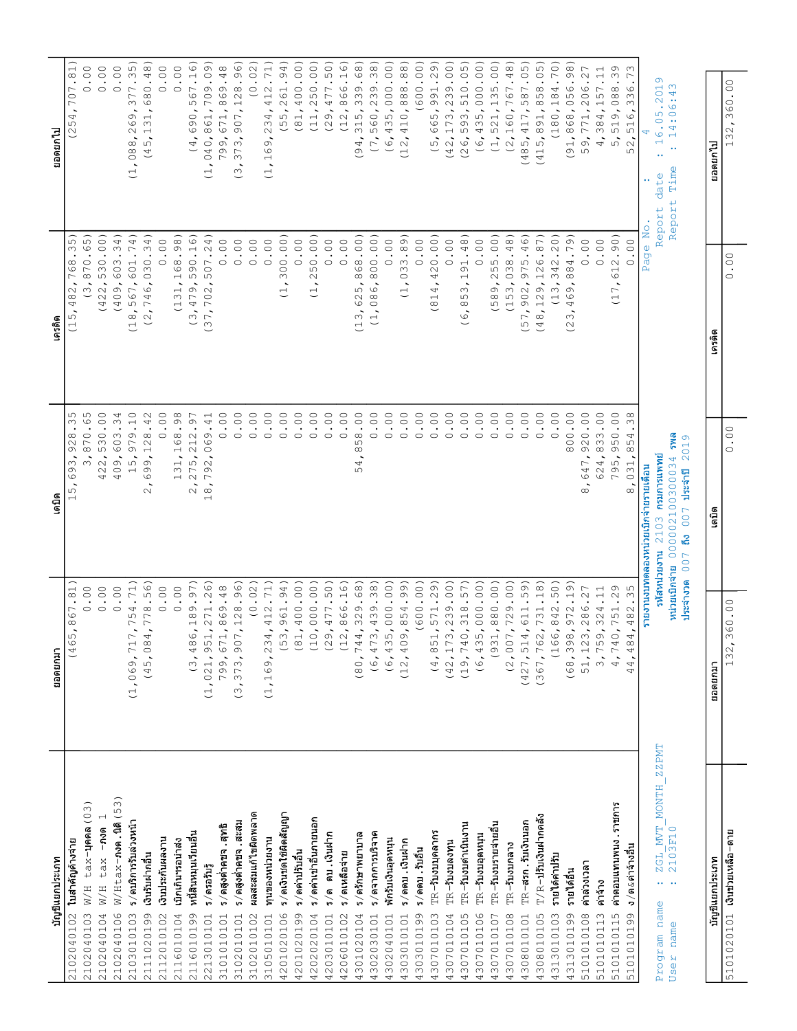| บัญชีแยกประเภท                                                                                         | ยอดยกมา                                    | เดบิด                                                                                                            | เครดิต                                                                                                                             | ยอดยกไป                                                                                                                                                                                                                                                        |
|--------------------------------------------------------------------------------------------------------|--------------------------------------------|------------------------------------------------------------------------------------------------------------------|------------------------------------------------------------------------------------------------------------------------------------|----------------------------------------------------------------------------------------------------------------------------------------------------------------------------------------------------------------------------------------------------------------|
| ใบสำคัญค้างจาย                                                                                         | (465, 867.81)                              | 35<br>$\cdot$<br>928<br>93<br>$\circ$<br>$\overline{5}$<br>$\overline{\phantom{0}}$                              | 35)<br>768.<br>482,<br>(15)                                                                                                        | 707.81<br>(254,                                                                                                                                                                                                                                                |
| tax-yena (03)<br>$\rm W/H$<br>2102040102<br>2102040103                                                 | $\ddot{\circ}$<br>$\circ$                  | S<br>$\circ$ .<br>870<br>$\tilde{\epsilon}$                                                                      | .65<br>(3, 870.                                                                                                                    | $\ddot{\circ}$<br>$\circ$                                                                                                                                                                                                                                      |
| $-$ ภงด<br>tax<br>W/H<br>2102040104                                                                    | 0.00                                       | $\ddot{\circ}$<br>530<br>422,                                                                                    | 530.00)<br>(422, 1)                                                                                                                | 0.00                                                                                                                                                                                                                                                           |
| $W/$ Htax-non.10 (53)<br>2102040106                                                                    | 0.00                                       | .34<br>603<br>409,                                                                                               | 34)<br>(409, 603.                                                                                                                  | 0.00                                                                                                                                                                                                                                                           |
| ร/ดบริการรับลวงหน้า                                                                                    | (1,069,717,754.71)                         | $\ddot{ }$ .10<br>979<br>$\overline{5}$<br>$\overline{ }$                                                        | (18, 567, 601.74)                                                                                                                  | 377.35)<br>C<br>$\circ$<br>$\sim$<br>088,<br>$\overline{1}$ ,                                                                                                                                                                                                  |
| เงินรับผ่ากอื่น<br>2103010103<br>2111020199                                                            | (45,084,778.56)                            | .42<br>$\stackrel{\tt \otimes}{{\tt \sim}}$<br>$\overline{\phantom{0}}$<br>99,<br>$\circ$<br>$\sim$              | 030.34)<br>746,<br>$\frac{1}{2}$                                                                                                   | 680.48)<br>31,<br>(45, 1)                                                                                                                                                                                                                                      |
| เงินประกันผลงาน                                                                                        | 0.00                                       | $\ddot{\circ}$<br>$\circ$                                                                                        | 0.00                                                                                                                               | 0.00                                                                                                                                                                                                                                                           |
| เปิกเกินฯรอนำส่ง<br>2112010102<br>2116010104                                                           | 0.00                                       | .98<br>131,168                                                                                                   | (131, 168.98)                                                                                                                      | 0.00                                                                                                                                                                                                                                                           |
| หนี้สินหมุนเวียนอื่น                                                                                   | (3, 486, 189.97)                           | $-97$<br>$\sim$<br>$\overline{\phantom{0}}$<br>: 275, 21<br>$\sim$                                               | (3, 479, 590.16)                                                                                                                   | $\widehat{\circ}$<br>567.1<br>(4,690,                                                                                                                                                                                                                          |
| ร/ดรอรับรู้<br>2116010199<br>2213010101                                                                | (1, 021, 951, 271.26)                      | .41<br>792,069<br>$\infty$<br>$\overline{\phantom{0}}$                                                           | .24)<br>507<br>(37, 702,                                                                                                           | .09<br>709.<br>040,861,<br>$\overline{1}$ ,                                                                                                                                                                                                                    |
| ร ⁄ ดสูงตำคชจ . สุทธิ                                                                                  | 799,671,869.48                             | 00.<br>$\circ$                                                                                                   | 0.00                                                                                                                               | 799,671,869.48                                                                                                                                                                                                                                                 |
| ร/ดสูงตำคบจ.สะสม                                                                                       | (3, 373, 907, 128.96)                      | $\rm ^{\circ}$ .<br>$\circ$                                                                                      | 0.00                                                                                                                               | 128.96)<br>907,<br>373,<br>$\ddot{\circ}$                                                                                                                                                                                                                      |
| ผลสะสมแก้ไขผิดพลาด<br>3101010101<br>3102010101<br>3102010102<br>3105010101                             | (0.02)                                     | $\rm ^{\circ}$ .<br>$\circ$                                                                                      | $\ddot{\circ}$<br>$\circ$                                                                                                          | (0.02)                                                                                                                                                                                                                                                         |
|                                                                                                        | (1, 169, 234, 412.71)                      | $\rm ^{\circ}$ .<br>$\circ$                                                                                      | 0.00                                                                                                                               | 71)<br>412.<br>234,<br>$\mathsf{\circlearrowright}$                                                                                                                                                                                                            |
| หาราชนายงาน                                                                                            |                                            |                                                                                                                  |                                                                                                                                    | $\delta$<br>(1, 1)                                                                                                                                                                                                                                             |
| ร/ดเงินชดใช้ผิดสัญญา<br>4201020106                                                                     | (53, 961.94)                               | $\rm ^{\circ}$ .<br>$\circ$                                                                                      | 300.00)<br>$\overline{1}$ ,                                                                                                        | 261.94)<br>(55)                                                                                                                                                                                                                                                |
| ร/ดค่าปรับอื่น<br>4201020199                                                                           | 400.00)<br>(81,                            | $\rm ^{\circ}$ .<br>$\circ$                                                                                      | 0.00                                                                                                                               | 400.00)<br>(81,                                                                                                                                                                                                                                                |
| ร/ดคาเขาอื่นภายนอก<br>4202020104                                                                       | (10, 000.00)                               | $\ddot{\circ}$<br>$\circ$                                                                                        | 250.00)<br>$\overline{1}$ ,                                                                                                        | 250.00)<br>(11,                                                                                                                                                                                                                                                |
| ร/ด ดบ.เงินฝาก<br>4203010101                                                                           | (29, 477.50)                               | $\rm ^{\circ}$ .<br>$\circ$                                                                                      | 0.00                                                                                                                               | 477.50)<br>(29,                                                                                                                                                                                                                                                |
| ร/ดเหลือจาย<br>4206010102                                                                              | (12, 866.16)                               | $\overset{\circ}{\phantom{0}}$<br>$\circ$                                                                        | 0.00                                                                                                                               | 866.16)<br>(12,                                                                                                                                                                                                                                                |
| ร/ดรักษาพยาบาล<br>4301020104                                                                           | (80, 744, 329.68)                          | $\rm ^{\circ}$ .<br>58<br>$\infty$<br>4<br>ഗ                                                                     | 868.00)<br>3,625,<br>$\overline{\cup}$                                                                                             | 339.68)<br>315,<br>$\ddot{\phantom{1}}$<br>$\overline{9}$                                                                                                                                                                                                      |
| ร/ดจากการบริจาค<br>4302030101                                                                          | (6, 473, 439.38)                           | $\rm ^{\circ}$ .<br>$\circ$                                                                                      | (1, 086, 800.00)                                                                                                                   | (7, 560, 239.38)                                                                                                                                                                                                                                               |
| พักรับเงินอุดหนุน<br>4302040101                                                                        | (6, 435, 000.00)                           | $\rm ^{\circ}$ .<br>$\circ$                                                                                      | 0.00                                                                                                                               | (6, 435, 000.00)                                                                                                                                                                                                                                               |
| ร/ดดบ.เงินฝาก<br>4303010101                                                                            | 409,854.99)<br>(12,                        | $\cdot$ 0 $\cdot$<br>$\circ$                                                                                     | 033.89<br>$\overline{1}$ ,                                                                                                         | 888.88)<br>410,<br>(12,                                                                                                                                                                                                                                        |
| ร/ดดบ.รับอื่น<br>4303010199                                                                            | (600.00)                                   | $\ddot{\circ}$<br>$\circ$                                                                                        | $\circ$ .<br>$\circ$                                                                                                               | (600.00)                                                                                                                                                                                                                                                       |
| TR-รับงบบุคลากร<br>4307010103                                                                          | (4, 851, 571.29)                           | $\ddot{\circ}$<br>$\circ$                                                                                        | 420.00)<br>$\overline{\phantom{a}}$<br>4<br>$\overline{\circ}$<br>$\overline{\phantom{0}}$                                         | .29)<br>991<br>(5,665,                                                                                                                                                                                                                                         |
| $TR - 51$<br>4307010104                                                                                | (42, 173, 239.00)                          | $\rm ^{\circ}$ .<br>$\circ$                                                                                      | $\sim$<br>$\circ$                                                                                                                  | 239.00)<br>(42, 173,                                                                                                                                                                                                                                           |
| TR-รับงบดำเนินงาน<br>4307010105                                                                        | (19, 740, 318.57)                          | $\rm ^{\circ}$ .<br>$\circ$                                                                                      | 91.48)<br>$\overline{\phantom{0}}$<br>$\infty$<br>$\frac{5}{8}$<br>$\overline{\phantom{a}}$<br>$\circ$<br>$\overline{\phantom{0}}$ | 510.05)<br>593,<br>(26,                                                                                                                                                                                                                                        |
| $TR - 5$ บงบอุดหนุน<br>4307010106                                                                      | (6, 435, 000.00)                           | $\ddot{\circ}$<br>$\circ$                                                                                        | $\ddot{\circ}$<br>$\circ$                                                                                                          | 000.000<br>(6, 435,                                                                                                                                                                                                                                            |
|                                                                                                        |                                            | $\rm ^{\circ}$ .<br>$\circ$                                                                                      |                                                                                                                                    |                                                                                                                                                                                                                                                                |
| TR-รับงบรายจายอื่น<br>4307010107                                                                       | (931, 880.00)                              | $\circ$                                                                                                          | (589, 255.00)                                                                                                                      | (1, 521, 135.00)                                                                                                                                                                                                                                               |
| $TR - 5$ บงบกลาง<br>4307010108                                                                         | (2,007,729.00)                             | $\ddot{\circ}$                                                                                                   | (153, 038.48)                                                                                                                      | 767.48)<br>(2, 160,                                                                                                                                                                                                                                            |
| <b>TR-สรก.รับเงินนอก</b><br>4308010101                                                                 | $(427, 514, 611.59)$<br>(367,762,731.18)   | $\ddot{\circ}$<br>$\circ$                                                                                        | 975.46)<br>902,<br>(57, 7)                                                                                                         | 587.05)<br>417,<br>$\overline{5}$<br>(48)                                                                                                                                                                                                                      |
| $T/R$ –ปรับเงินฝากคลัง<br>4308010105                                                                   |                                            | $\cdot$ $^{\circ}$<br>$\circ$                                                                                    | (48, 129, 126.87)                                                                                                                  | 858.05)<br>5,891,<br>(41)                                                                                                                                                                                                                                      |
| รายได้ค่าปรับ<br>4313010103                                                                            | (166, 842.50)                              | $\ddot{\circ}$<br>$\circ$                                                                                        | (13, 342.20)                                                                                                                       | 70)<br>(180, 184.                                                                                                                                                                                                                                              |
| รายได้อื่น<br>4313010199<br>5101010108<br>5101010113                                                   | (68, 398, 972.19)                          | 800.00                                                                                                           | 884.79)<br>469,<br>(23)                                                                                                            | 056.98)<br>(91, 868,                                                                                                                                                                                                                                           |
| คาลวงเวลา                                                                                              | $\overline{\phantom{a}}$<br>51, 123, 286.2 | $\phantom{0}0$ .<br>920<br>647,<br>$\infty$                                                                      | 0.00                                                                                                                               | $\Gamma$<br>$\ddot{\sim}$<br>206<br>.9,771,<br>ഗ                                                                                                                                                                                                               |
| ค่าจ้าง                                                                                                | $\overline{\phantom{0}}$<br>3,759,324.1    | . $^{\circ}$<br>624,833                                                                                          | 0.00                                                                                                                               | $\overline{ }$<br>$\overline{\phantom{a}}$ .<br>4,384,157                                                                                                                                                                                                      |
| ค่าตอบแทนพนง . ราชการ<br>5101010115                                                                    | 4,740,751.29                               | $\rm ^{\circ}$ .<br>950<br>795,                                                                                  | 612.90)<br>$\ddot{\phantom{0}}$<br>$\overline{\phantom{0}}$<br>$\cup$                                                              | $\circ$<br>5,519,088.3                                                                                                                                                                                                                                         |
| ง ⁄ ด &ค่าจ้างอื่น<br>5101010199                                                                       | 482.35<br>484.<br>44 <sub>1</sub>          | $\frac{8}{3}$<br>54<br>$\infty$<br>031,<br>$\infty$                                                              | $\circ$<br>$\circ$                                                                                                                 | $\infty$<br>$\overline{ }$<br>336<br>516,<br>52                                                                                                                                                                                                                |
|                                                                                                        |                                            | รายเดือน<br>รายงานงบทดลองหน่วยเบิกจ่าย                                                                           | age<br>д                                                                                                                           | 4<br>$\overline{\mathsf{N}}$                                                                                                                                                                                                                                   |
| ZZPMT<br>MOMTH<br>$\text{MVT}$<br>ZGL_MVT_<br>2103F10<br>$\cdots$ .<br>name<br>name<br>Program<br>User | หน่วยเบิกจ่าย<br>ประจำงวด                  | <b>BMS</b><br>G<br>201<br>nu 2103 naunnauwwnf<br>000002100300034<br>ประจำปี<br>007<br>៲៹៝<br>รหัสหน่วยงาน<br>007 |                                                                                                                                    | $\sigma$<br>ന<br>201<br>4<br>ŵ<br>$\circ$<br>Ю<br>$\circ$<br>$\circ$<br>$\ddotsc$<br>$\cdot$ $\sim$<br>$\circ$<br>$\overline{ }$<br>$\overline{\phantom{0}}$<br>$\bullet$ $\bullet$<br>$\ddot{\phantom{1}}$<br>Time<br>date<br>$\downarrow$<br>Repor<br>Report |
|                                                                                                        |                                            |                                                                                                                  |                                                                                                                                    |                                                                                                                                                                                                                                                                |
| บัญชีแยกประเภท                                                                                         | นอดยกมา                                    | เดบิต                                                                                                            | เครดิต                                                                                                                             | ยอดยกไป                                                                                                                                                                                                                                                        |
| 5101020101 เงินช่วยเหลือ-ดาย                                                                           | 132,360.00                                 | $\circ$<br>$\;$<br>$\circ$                                                                                       | $_{\circ}^{\circ}$<br>$\bullet$<br>$\circ$                                                                                         | $\circ$<br>$\cdot$<br>$\circ$<br>$\circ$<br>$\infty$<br>$\sim$<br>$\frac{3}{1}$                                                                                                                                                                                |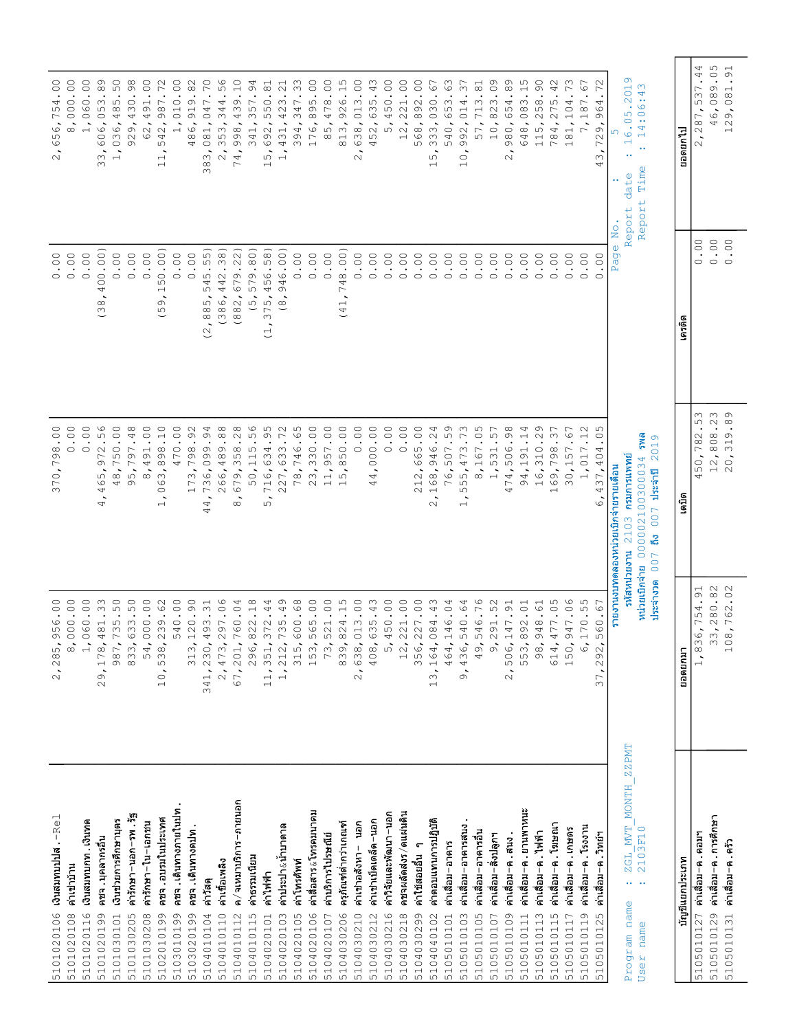|                                                                                                                                                            |                                   | $\ddot{\circ}$<br>98<br>$\overline{\phantom{0}}$<br>370,                                                 | $\rm ^{\circ}$ .<br>$\circ$                                              | $\circ$<br>$\circ$<br>754<br>56,<br>$\circ$<br>$\sim$                                                                                |
|------------------------------------------------------------------------------------------------------------------------------------------------------------|-----------------------------------|----------------------------------------------------------------------------------------------------------|--------------------------------------------------------------------------|--------------------------------------------------------------------------------------------------------------------------------------|
| เงินสมทบปปส $\cdot$ -Rel<br>คาเชาบ้าน<br>5101020106<br>5101020108                                                                                          | 2,285,956.00<br>8,000.00          | $\ddot{\circ}$<br>$\circ$                                                                                | 0.00                                                                     | $\ddot{\circ}$<br>8,000                                                                                                              |
| เงินสมทบกท. เงินทด<br>5101020116                                                                                                                           | 1,060.00                          | $\circ$ .<br>$\circ$                                                                                     | 0.00                                                                     | $\circ$ .<br>060<br>$\overline{1}$                                                                                                   |
| คชจ. บุคลากรอื่น<br>5101020199                                                                                                                             | 29, 178, 481.33                   | .56<br>972<br>465,<br>$\ddot{\phantom{0}}$<br>4                                                          | 400.00)<br>$\overline{\phantom{a}}$<br>(38)                              | .89<br>3,606,053<br>$\infty$                                                                                                         |
| เงินช่วยการศึกษาบุตร<br>5101030101                                                                                                                         | 987,735.50                        | $\ddot{\circ}$<br>750<br>48,                                                                             | 0.00                                                                     | 50<br>485<br>1,036,                                                                                                                  |
| คำรักษา−นอก−รพ . รัฐ<br>5101030205                                                                                                                         | 833,633.50                        | .48<br>97<br>$\overline{\phantom{0}}$<br>95,                                                             | 0.00                                                                     | .98<br>929,430                                                                                                                       |
| ค่ารักษา-ใน-เอกชน<br>5101030208                                                                                                                            | 54,000.00                         | 00.<br>491<br>$\ddot{\circ}$                                                                             | 0.00                                                                     | $\ddot{\circ}$<br>491<br>62,                                                                                                         |
| คชจ . อบรมในประเทศ<br>5102010199                                                                                                                           | 538,239.62<br>$10$ ,              | $\ddot{.}10$<br>$^{\circ}_{\circ}$<br>$\infty$<br>$\mathbb{S}^3$<br>$\circ$<br>$\overline{\phantom{0}}$  | 50.00)<br>$\overline{\phantom{0}}$<br>O<br>ഗ<br>$\overline{\phantom{0}}$ | 72<br>$\bullet$<br>987<br>542,<br>$\overline{\phantom{a}}$<br>$\overline{\phantom{0}}$<br>$\overline{ }$                             |
| คชจ . เดินทางภายในปท .<br>5103010199                                                                                                                       | 540.00                            | 00.<br>470                                                                                               | $\ddot{\circ}$<br>$\circ$                                                | $\ddot{\circ}$<br>010<br>$\overline{1}$                                                                                              |
| คชจ.เดินทางตปท.<br>5103020199                                                                                                                              | 313,120.90                        | .92<br>$^{\circ}_{\circ}$<br>$\overline{\phantom{0}}$<br>173,                                            | 0.00                                                                     | $\cdot$ 82<br>919<br>486,                                                                                                            |
| ค่าวัสดุ<br>5104010104                                                                                                                                     | 341, 230, 493.31                  | .94<br>99<br>736,09<br>44,                                                                               | 45.55)<br>5<br>885,<br>$\tilde{\phantom{a}}$<br>$\overline{C}$           | 70<br>$\cdot$<br>,081,047<br>$\sim$<br>38                                                                                            |
| ค่าเขื้อเพลิง<br>5104010110                                                                                                                                | 2,473,297.06                      | .88<br>489<br>266,                                                                                       | .38)<br>442<br>(386,                                                     | $0\degree$<br>2,353,344                                                                                                              |
| ค ⁄ จเหมาบริการ−ภายนอก                                                                                                                                     | 4<br>67, 201, 760.0               | .28<br>$\mathop{\mathbb{S}}\nolimits$<br>$\infty$<br>679,<br>$\infty$                                    | 679.22)<br>(882,                                                         | $\ddot{ }$ .<br>439<br>998,<br>74,                                                                                                   |
| คาธรรมเนียม<br>5104010112<br>5104010115                                                                                                                    | 296,822.18                        | $\infty$<br>$\ddot{\phantom{0}}$ .<br>S<br>$\Xi$<br>50,                                                  | 579.80)<br>$\ddot{\circ}$                                                | .94<br>341,357                                                                                                                       |
| ค่าใฟฟ้า<br>5104020101                                                                                                                                     | 11, 351, 372.44                   | .95<br>634<br>5,716,                                                                                     | 456.58)<br>375,<br>$\sim$<br>$\cup$                                      | .81<br>550<br>15,692,                                                                                                                |
| ค่าประปา&น้าบาดาล<br>5104020103                                                                                                                            | $\circ$<br>1, 212, 735.4          | .72<br>633<br>27,<br>$\sim$                                                                              | 46.00)<br>$\circ$<br>$\overset{\infty}{\circ}$                           | $\overline{ }$<br>$\ddot{\sim}$<br>$\infty$<br>$4\,2$<br>431,<br>$\frac{1}{1}$                                                       |
|                                                                                                                                                            |                                   |                                                                                                          |                                                                          |                                                                                                                                      |
| คาโทรศัพท์                                                                                                                                                 | 315,600.68                        | 746.65<br>78,                                                                                            | 0.00                                                                     | .33<br>394,347                                                                                                                       |
| ค่าสื่อสาร&โทรคมนาคม<br>5104020105<br>5104020106<br>5104020107                                                                                             | 153,565.00                        | 330.00<br>23                                                                                             | 0.00                                                                     | $\ddot{\circ}$<br>895<br>176,                                                                                                        |
| ค่าบริการไปรษณีย์                                                                                                                                          | 73,521.00                         | $\ddot{\circ}$<br>957<br>$\overline{\phantom{a}}$<br>$\overline{ }$                                      | 0.00                                                                     | $\ddot{\circ}$<br>478<br>$\overline{5}$<br>$\infty$                                                                                  |
| ครุภัณฑ์ตำกวาเกณฑ์<br>5104030206                                                                                                                           | 839, 824.15                       | 00.<br>50<br>$\infty$<br>ഗ<br>$\overline{\phantom{0}}$                                                   | 748.00)<br>(41,                                                          | 926.15<br>813,                                                                                                                       |
| นอก<br>ค่าเขาอสังหา-<br>5104030210                                                                                                                         | 2,638,013.00                      | $\ddot{\circ}$<br>$\circ$                                                                                | $\overline{0}$ .<br>$\circ$                                              | $\cdot$ 0 0 .<br>$\infty$<br>638,01<br>$\sim$                                                                                        |
| ค่าเข่าเบ็ดเตล็ด−นอก                                                                                                                                       | 408,635.43                        | 00.00<br>$\circ$<br>$\ddot{\phantom{1}}$<br>4<br>4                                                       | $\circ$ .<br>$\circ$                                                     | .43<br>452,635                                                                                                                       |
| ค่าวิจัยและพัฒนา−นอก                                                                                                                                       | 5,450.00                          | $\ddot{\circ}$<br>$\circ$                                                                                | $\ddot{\circ}$<br>$\circ$                                                | $\ddot{\circ}$<br>450<br>$\overline{5}$                                                                                              |
| คชจผลัดส่งร/ดแผ่นดิน<br>5104030212<br>5104030216<br>5104030218                                                                                             | 12, 221.00                        | $\rm ^{\circ}$ .<br>$\circ$                                                                              | $\ddot{\circ}$<br>$\circ$                                                | $\ddot{\circ}$<br>12,221                                                                                                             |
| $\epsilon$<br>คาใช้สอยอื่น                                                                                                                                 | 356,227.00                        | 665.00<br>212,                                                                                           | 0.00                                                                     | $\ddot{\circ}$<br>568,892                                                                                                            |
| ค่าตอบแทนการปฎิบัติ<br>5104030299<br>5104040102                                                                                                            | 13, 164, 084. 43                  | .24<br>946<br>68,<br>$\overline{\phantom{0}}$<br>$\sim$                                                  | $\ddot{\circ}$<br>$\circ$                                                | $\overline{\phantom{0}}$<br>نَ<br>•<br>333,030<br>ഗ<br>$\overline{\phantom{0}}$                                                      |
| ค่าเลื่อม-อาคาร                                                                                                                                            | 464,146.04                        | 59.<br>507<br>76,                                                                                        | $\ddot{\circ}$<br>$\circ$                                                | .63<br>540,653                                                                                                                       |
|                                                                                                                                                            |                                   |                                                                                                          |                                                                          |                                                                                                                                      |
| ค่าเลื่อม-อาคารสนง<br>5105010101<br>5105010103<br>5105010105                                                                                               | 436,540.64<br>$\delta$            | .73<br>473<br>55,<br>ഗ<br>$\overline{\phantom{0}}$                                                       | 00.<br>$\circ$                                                           | .37<br>014<br>992,<br>$\circ$<br>$\overline{\phantom{0}}$                                                                            |
| ค่าเลือม−อาคารอื่น                                                                                                                                         | 49,546.76                         | .05<br>8,167                                                                                             | $\ddot{\circ}$<br>$\circ$                                                | $\cdot$ 8.1<br>713<br>57,                                                                                                            |
| ค่าเลื่อม-สิงปลูกฯ<br>5105010107<br>5105010109                                                                                                             | 9,291.52                          | .57<br>531<br>$\frac{1}{n+1}$                                                                            | $\ddot{\circ}$<br>$\circ$                                                | 0.0<br>10,823                                                                                                                        |
| คาเสื้อม−ค . สนง .                                                                                                                                         | 2,506,147.91                      | .98<br>506<br>474,                                                                                       | 00.<br>$\circ$                                                           | .89<br>980,654<br>$\sim$                                                                                                             |
| ค่าเสื่อม−ค.ยานพาหนะ<br>5105010111                                                                                                                         | 553,892.01                        | .14<br>94,191                                                                                            | $\ddot{\circ}$<br>$\circ$                                                | .15<br>083<br>648,                                                                                                                   |
| คาเลือม-ค. ไฟฟ้า<br>5105010113                                                                                                                             | 98,948.61                         | Ō<br>$\ddot{\sim}$<br>310<br>$\ddot{\circ}$<br>$\overline{\phantom{0}}$                                  | $\ddot{\circ}$<br>$\circ$                                                | $\circledcirc$<br>258<br>115,                                                                                                        |
| คาเลือม-ค. โฆษณา<br>5105010115                                                                                                                             | ഗ<br>614, 477.0                   | $\cdot$ <sup>7</sup><br>798<br>69,<br>$\overline{\phantom{0}}$                                           | $\ddot{\circ}$<br>$\circ$                                                | .42<br>4,275<br>$78$                                                                                                                 |
| ค่าเลื่อม-ค.เกษตร<br>5105010117                                                                                                                            | 150,947.06                        | $\cdot$ 67<br>30,157                                                                                     | 0.00                                                                     | .73<br>104<br>81,<br>$\overline{\phantom{0}}$                                                                                        |
| ค่าเลื่อม-ค. โรงงาน<br>5105010119                                                                                                                          | 6,170.55                          | $\mathcal{C}$<br>$\overline{\phantom{a}}$ .<br>$\overline{\phantom{0}}$<br>1,01                          | $\phantom{0}0$ .<br>$\circ$                                              | $\Gamma$<br>ڣٞ<br>$_\odot$<br>$\overline{\phantom{0}}$<br>$\sim$<br>$\Gamma$                                                         |
| ค่าเลื่อม-ค.วิทย์ฯ<br>5105010125                                                                                                                           | 37, 292, 560.67                   | ഗ<br>$\circ$ .<br>404<br>437,<br>$\tilde{\circ}$                                                         | 00.<br>$\circ$                                                           | $\sim$<br>$\overline{\phantom{a}}$<br>4<br>96<br>$\circ$<br>72<br>$\infty$<br>4                                                      |
|                                                                                                                                                            |                                   | รายงานงบทดลองหน่วยเบิกจ่ายรายเดือน                                                                       | $\overset{\mathsf{O}}{\mathtt{Z}}$<br>$\Phi$<br>Pag                      |                                                                                                                                      |
| ZZPMT<br>$\frac{\texttt{ZGL} \texttt{MVT} \texttt{MONT}}{\texttt{2103F10}}$<br>$\mathbf{r} \leftarrow \mathbf{r} \leftarrow \mathbf{r}$<br>name<br>Program |                                   | กรมการแพทย์<br>5หัสหน่วยงาน 2103                                                                         | Report                                                                   | Ō<br>.201<br>$\begin{array}{c}\n0.5 \\ \vdots\n\end{array}$<br>$\rightarrow$ $\lnot$<br>$\frac{6}{1}$<br>$\bullet$ $\bullet$<br>date |
| name<br>User                                                                                                                                               | หน่วยเบิกจ่าย 0000021<br>ประจำงวด | <b>BMS</b><br>Ō<br>201<br>0300034<br>ประจำปี<br>$\circ$<br>$\overline{C}$<br>$\overline{0}$<br>នើ<br>007 | Report                                                                   | ന<br>4<br>$\ddot{\circ}$<br>$\overline{ }$<br>$\bullet$ .<br>Time<br>$\overline{v}$                                                  |
|                                                                                                                                                            | ยอดยกมา                           | เดบิต                                                                                                    | เครดิต                                                                   | นาดยกไป                                                                                                                              |
| บัญชีแยกประเภท                                                                                                                                             |                                   |                                                                                                          |                                                                          |                                                                                                                                      |
| คาเลือม-ค.การศึกษา<br>5105010127 ค่าเสื่อม-ค.คอมฯ                                                                                                          | 1,836,754.91<br>33,280.82         | Μ<br>.23<br>5<br>782<br>50,<br>4                                                                         | $\circ$<br>$\ddot{\circ}$<br>$\circ$<br>$\circ$                          | 46,089.05<br>4<br>$\ddot{ }$ .<br>2,287,537                                                                                          |
| คาเลือม-ค.ครัว<br>5105010129<br>5105010131                                                                                                                 | 108,762.02                        | $\circ$<br>$\infty$<br>12,808<br>319<br>$\dot{\circ}$<br>$\sim$                                          | $\circ$<br>$\circ$                                                       | $\overline{91}$<br>081<br>129,                                                                                                       |
|                                                                                                                                                            |                                   |                                                                                                          | $\,$ .                                                                   | $\cdot$                                                                                                                              |